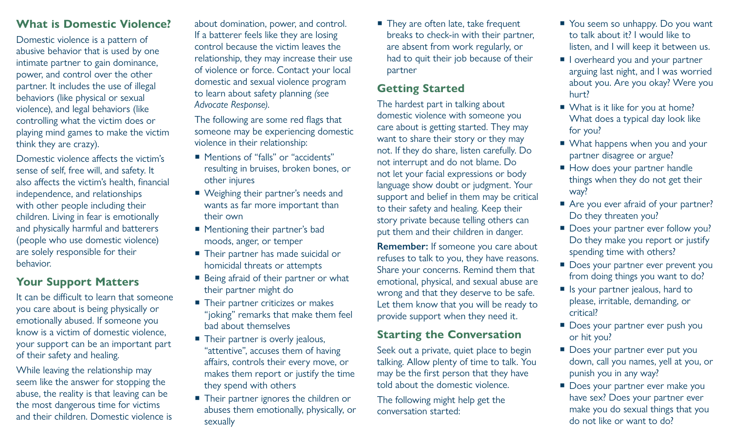## **What is Domestic Violence?**

Domestic violence is a pattern of abusive behavior that is used by one intimate partner to gain dominance, power, and control over the other partner. It includes the use of illegal behaviors (like physical or sexual violence), and legal behaviors (like controlling what the victim does or playing mind games to make the victim think they are crazy).

Domestic violence affects the victim's sense of self, free will, and safety. It also affects the victim's health, financial independence, and relationships with other people including their children. Living in fear is emotionally and physically harmful and batterers (people who use domestic violence) are solely responsible for their behavior.

## **Your Support Matters**

It can be difficult to learn that someone you care about is being physically or emotionally abused. If someone you know is a victim of domestic violence, your support can be an important part of their safety and healing.

While leaving the relationship may seem like the answer for stopping the abuse, the reality is that leaving can be the most dangerous time for victims and their children. Domestic violence is

about domination, power, and control. If a batterer feels like they are losing control because the victim leaves the relationship, they may increase their use of violence or force. Contact your local domestic and sexual violence program to learn about safety planning *(see Advocate Response)*.

The following are some red flags that someone may be experiencing domestic violence in their relationship:

- Mentions of "falls" or "accidents" resulting in bruises, broken bones, or other injures
- Weighing their partner's needs and wants as far more important than their own
- Mentioning their partner's bad moods, anger, or temper
- Their partner has made suicidal or homicidal threats or attempts
- **Being afraid of their partner or what** their partner might do
- Their partner criticizes or makes "joking" remarks that make them feel bad about themselves
- Their partner is overly jealous, "attentive", accuses them of having affairs, controls their every move, or makes them report or justify the time they spend with others
- Their partner ignores the children or abuses them emotionally, physically, or sexually

■ They are often late, take frequent breaks to check-in with their partner, are absent from work regularly, or had to quit their job because of their partner

## **Getting Started**

The hardest part in talking about domestic violence with someone you care about is getting started. They may want to share their story or they may not. If they do share, listen carefully. Do not interrupt and do not blame. Do not let your facial expressions or body language show doubt or judgment. Your support and belief in them may be critical to their safety and healing. Keep their story private because telling others can put them and their children in danger.

**Remember:** If someone you care about refuses to talk to you, they have reasons. Share your concerns. Remind them that emotional, physical, and sexual abuse are wrong and that they deserve to be safe. Let them know that you will be ready to provide support when they need it.

### **Starting the Conversation**

Seek out a private, quiet place to begin talking. Allow plenty of time to talk. You may be the first person that they have told about the domestic violence.

The following might help get the conversation started:

- You seem so unhappy. Do you want to talk about it? I would like to listen, and I will keep it between us.
- I loverheard you and your partner arguing last night, and I was worried about you. Are you okay? Were you hurt?
- What is it like for you at home? What does a typical day look like for you?
- What happens when you and your partner disagree or argue?
- How does your partner handle things when they do not get their way?
- Are you ever afraid of your partner? Do they threaten you?
- Does your partner ever follow you? Do they make you report or justify spending time with others?
- Does your partner ever prevent you from doing things you want to do?
- I Is your partner jealous, hard to please, irritable, demanding, or critical?
- Does your partner ever push you or hit you?
- Does your partner ever put you down, call you names, yell at you, or punish you in any way?
- Does your partner ever make you have sex? Does your partner ever make you do sexual things that you do not like or want to do?